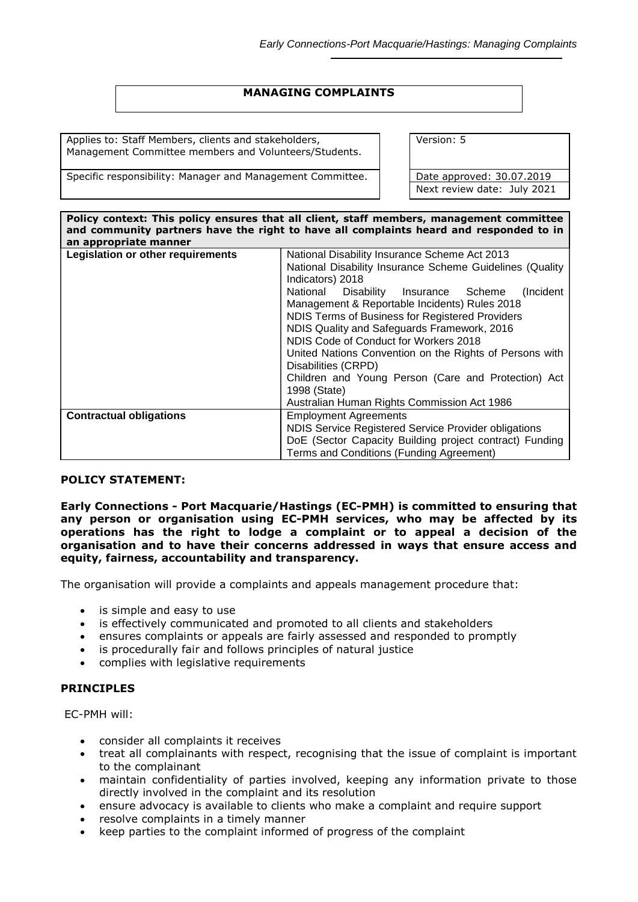# **MANAGING COMPLAINTS**

Applies to: Staff Members, clients and stakeholders, Management Committee members and Volunteers/Students.

Specific responsibility: Manager and Management Committee. Date approved: 30.07.2019

Version: 5

Next review date: July 2021

| Policy context: This policy ensures that all client, staff members, management committee<br>and community partners have the right to have all complaints heard and responded to in<br>an appropriate manner |                                                                                                                                                                                                                                                     |  |  |  |
|-------------------------------------------------------------------------------------------------------------------------------------------------------------------------------------------------------------|-----------------------------------------------------------------------------------------------------------------------------------------------------------------------------------------------------------------------------------------------------|--|--|--|
| Legislation or other requirements                                                                                                                                                                           | National Disability Insurance Scheme Act 2013<br>National Disability Insurance Scheme Guidelines (Quality<br>Indicators) 2018<br>National Disability Insurance Scheme<br>(Incident)                                                                 |  |  |  |
|                                                                                                                                                                                                             | Management & Reportable Incidents) Rules 2018<br>NDIS Terms of Business for Registered Providers<br>NDIS Quality and Safeguards Framework, 2016<br>NDIS Code of Conduct for Workers 2018<br>United Nations Convention on the Rights of Persons with |  |  |  |
|                                                                                                                                                                                                             | Disabilities (CRPD)<br>Children and Young Person (Care and Protection) Act<br>1998 (State)<br>Australian Human Rights Commission Act 1986                                                                                                           |  |  |  |
| <b>Contractual obligations</b>                                                                                                                                                                              | <b>Employment Agreements</b><br>NDIS Service Registered Service Provider obligations<br>DoE (Sector Capacity Building project contract) Funding<br>Terms and Conditions (Funding Agreement)                                                         |  |  |  |

### **POLICY STATEMENT:**

**Early Connections - Port Macquarie/Hastings (EC-PMH) is committed to ensuring that any person or organisation using EC-PMH services, who may be affected by its operations has the right to lodge a complaint or to appeal a decision of the organisation and to have their concerns addressed in ways that ensure access and equity, fairness, accountability and transparency.**

The organisation will provide a complaints and appeals management procedure that:

- is simple and easy to use
- is effectively communicated and promoted to all clients and stakeholders
- ensures complaints or appeals are fairly assessed and responded to promptly
- is procedurally fair and follows principles of natural justice
- complies with legislative requirements

### **PRINCIPLES**

EC-PMH will:

- consider all complaints it receives
- treat all complainants with respect, recognising that the issue of complaint is important to the complainant
- maintain confidentiality of parties involved, keeping any information private to those directly involved in the complaint and its resolution
- ensure advocacy is available to clients who make a complaint and require support
- resolve complaints in a timely manner
- keep parties to the complaint informed of progress of the complaint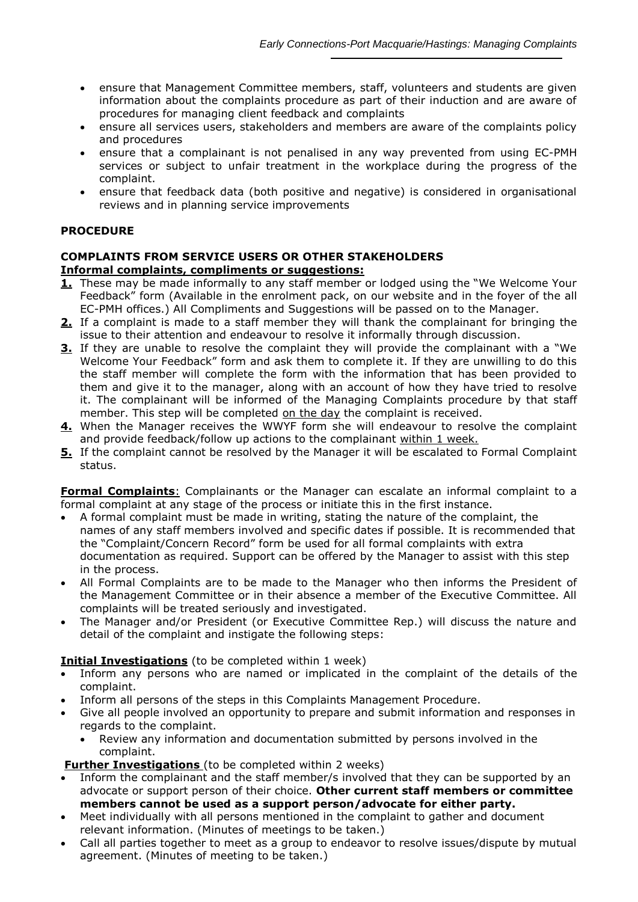- ensure that Management Committee members, staff, volunteers and students are given information about the complaints procedure as part of their induction and are aware of procedures for managing client feedback and complaints
- ensure all services users, stakeholders and members are aware of the complaints policy and procedures
- ensure that a complainant is not penalised in any way prevented from using EC-PMH services or subject to unfair treatment in the workplace during the progress of the complaint.
- ensure that feedback data (both positive and negative) is considered in organisational reviews and in planning service improvements

# **PROCEDURE**

# **COMPLAINTS FROM SERVICE USERS OR OTHER STAKEHOLDERS Informal complaints, compliments or suggestions:**

- **1.** These may be made informally to any staff member or lodged using the "We Welcome Your Feedback" form (Available in the enrolment pack, on our website and in the foyer of the all EC-PMH offices.) All Compliments and Suggestions will be passed on to the Manager.
- **2.** If a complaint is made to a staff member they will thank the complainant for bringing the issue to their attention and endeavour to resolve it informally through discussion.
- **3.** If they are unable to resolve the complaint they will provide the complainant with a "We Welcome Your Feedback" form and ask them to complete it. If they are unwilling to do this the staff member will complete the form with the information that has been provided to them and give it to the manager, along with an account of how they have tried to resolve it. The complainant will be informed of the Managing Complaints procedure by that staff member. This step will be completed on the day the complaint is received.
- **4.** When the Manager receives the WWYF form she will endeavour to resolve the complaint and provide feedback/follow up actions to the complainant within 1 week.
- **5.** If the complaint cannot be resolved by the Manager it will be escalated to Formal Complaint status.

**Formal Complaints:** Complainants or the Manager can escalate an informal complaint to a formal complaint at any stage of the process or initiate this in the first instance.

- A formal complaint must be made in writing, stating the nature of the complaint, the names of any staff members involved and specific dates if possible. It is recommended that the "Complaint/Concern Record" form be used for all formal complaints with extra documentation as required. Support can be offered by the Manager to assist with this step in the process.
- All Formal Complaints are to be made to the Manager who then informs the President of the Management Committee or in their absence a member of the Executive Committee. All complaints will be treated seriously and investigated.
- The Manager and/or President (or Executive Committee Rep.) will discuss the nature and detail of the complaint and instigate the following steps:

## **Initial Investigations** (to be completed within 1 week)

- Inform any persons who are named or implicated in the complaint of the details of the complaint.
- Inform all persons of the steps in this Complaints Management Procedure.
- Give all people involved an opportunity to prepare and submit information and responses in regards to the complaint.
	- Review any information and documentation submitted by persons involved in the complaint.

## **Further Investigations** (to be completed within 2 weeks)

- Inform the complainant and the staff member/s involved that they can be supported by an advocate or support person of their choice. **Other current staff members or committee members cannot be used as a support person/advocate for either party.**
- Meet individually with all persons mentioned in the complaint to gather and document relevant information. (Minutes of meetings to be taken.)
- Call all parties together to meet as a group to endeavor to resolve issues/dispute by mutual agreement. (Minutes of meeting to be taken.)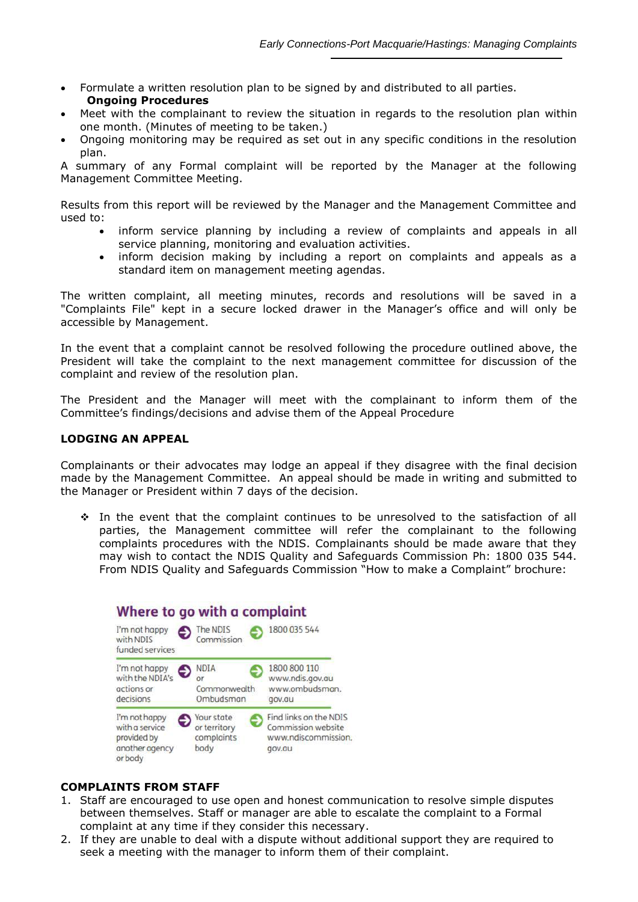- Formulate a written resolution plan to be signed by and distributed to all parties. **Ongoing Procedures**
- Meet with the complainant to review the situation in regards to the resolution plan within one month. (Minutes of meeting to be taken.)
- Ongoing monitoring may be required as set out in any specific conditions in the resolution plan.

A summary of any Formal complaint will be reported by the Manager at the following Management Committee Meeting.

Results from this report will be reviewed by the Manager and the Management Committee and used to:

- inform service planning by including a review of complaints and appeals in all service planning, monitoring and evaluation activities.
- inform decision making by including a report on complaints and appeals as a standard item on management meeting agendas.

The written complaint, all meeting minutes, records and resolutions will be saved in a "Complaints File" kept in a secure locked drawer in the Manager's office and will only be accessible by Management.

In the event that a complaint cannot be resolved following the procedure outlined above, the President will take the complaint to the next management committee for discussion of the complaint and review of the resolution plan.

The President and the Manager will meet with the complainant to inform them of the Committee's findings/decisions and advise them of the Appeal Procedure

### **LODGING AN APPEAL**

Complainants or their advocates may lodge an appeal if they disagree with the final decision made by the Management Committee. An appeal should be made in writing and submitted to the Manager or President within 7 days of the decision.

 In the event that the complaint continues to be unresolved to the satisfaction of all parties, the Management committee will refer the complainant to the following complaints procedures with the NDIS. Complainants should be made aware that they may wish to contact the NDIS Quality and Safeguards Commission Ph: 1800 035 544. From NDIS Quality and Safeguards Commission "How to make a Complaint" brochure:

# Where to go with a complaint



## **COMPLAINTS FROM STAFF**

- 1. Staff are encouraged to use open and honest communication to resolve simple disputes between themselves. Staff or manager are able to escalate the complaint to a Formal complaint at any time if they consider this necessary.
- 2. If they are unable to deal with a dispute without additional support they are required to seek a meeting with the manager to inform them of their complaint.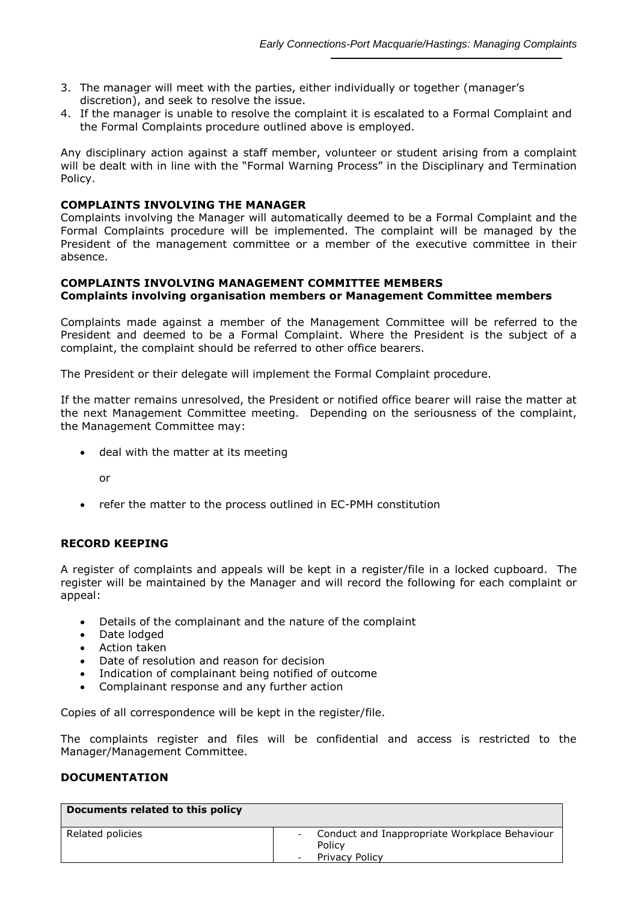- 3. The manager will meet with the parties, either individually or together (manager's discretion), and seek to resolve the issue.
- 4. If the manager is unable to resolve the complaint it is escalated to a Formal Complaint and the Formal Complaints procedure outlined above is employed.

Any disciplinary action against a staff member, volunteer or student arising from a complaint will be dealt with in line with the "Formal Warning Process" in the Disciplinary and Termination Policy.

### **COMPLAINTS INVOLVING THE MANAGER**

Complaints involving the Manager will automatically deemed to be a Formal Complaint and the Formal Complaints procedure will be implemented. The complaint will be managed by the President of the management committee or a member of the executive committee in their absence.

### **COMPLAINTS INVOLVING MANAGEMENT COMMITTEE MEMBERS Complaints involving organisation members or Management Committee members**

Complaints made against a member of the Management Committee will be referred to the President and deemed to be a Formal Complaint. Where the President is the subject of a complaint, the complaint should be referred to other office bearers.

The President or their delegate will implement the Formal Complaint procedure.

If the matter remains unresolved, the President or notified office bearer will raise the matter at the next Management Committee meeting. Depending on the seriousness of the complaint, the Management Committee may:

• deal with the matter at its meeting

or

refer the matter to the process outlined in EC-PMH constitution

## **RECORD KEEPING**

A register of complaints and appeals will be kept in a register/file in a locked cupboard. The register will be maintained by the Manager and will record the following for each complaint or appeal:

- Details of the complainant and the nature of the complaint
- Date lodged
- Action taken
- Date of resolution and reason for decision
- Indication of complainant being notified of outcome
- Complainant response and any further action

Copies of all correspondence will be kept in the register/file.

The complaints register and files will be confidential and access is restricted to the Manager/Management Committee.

### **DOCUMENTATION**

| Documents related to this policy |   |                                                           |  |  |
|----------------------------------|---|-----------------------------------------------------------|--|--|
| Related policies                 |   | - Conduct and Inappropriate Workplace Behaviour<br>Policy |  |  |
|                                  | ٠ | <b>Privacy Policy</b>                                     |  |  |